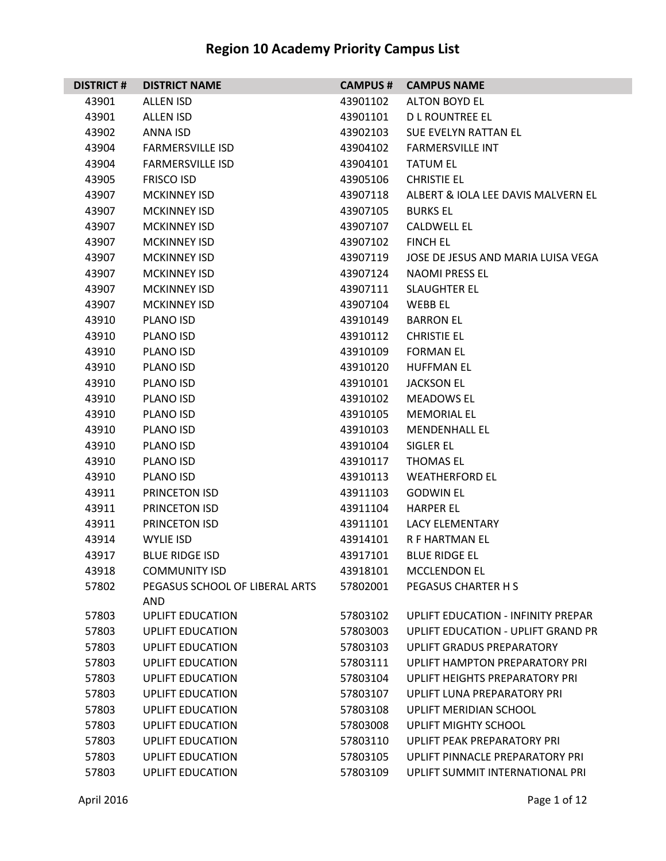| <b>DISTRICT#</b> | <b>DISTRICT NAME</b>                  | <b>CAMPUS #</b> | <b>CAMPUS NAME</b>                 |
|------------------|---------------------------------------|-----------------|------------------------------------|
| 43901            | <b>ALLEN ISD</b>                      | 43901102        | <b>ALTON BOYD EL</b>               |
| 43901            | <b>ALLEN ISD</b>                      | 43901101        | D L ROUNTREE EL                    |
| 43902            | ANNA ISD                              | 43902103        | SUE EVELYN RATTAN EL               |
| 43904            | <b>FARMERSVILLE ISD</b>               | 43904102        | <b>FARMERSVILLE INT</b>            |
| 43904            | <b>FARMERSVILLE ISD</b>               | 43904101        | <b>TATUM EL</b>                    |
| 43905            | <b>FRISCO ISD</b>                     | 43905106        | <b>CHRISTIE EL</b>                 |
| 43907            | <b>MCKINNEY ISD</b>                   | 43907118        | ALBERT & IOLA LEE DAVIS MALVERN EL |
| 43907            | <b>MCKINNEY ISD</b>                   | 43907105        | <b>BURKS EL</b>                    |
| 43907            | <b>MCKINNEY ISD</b>                   | 43907107        | <b>CALDWELL EL</b>                 |
| 43907            | <b>MCKINNEY ISD</b>                   | 43907102        | <b>FINCH EL</b>                    |
| 43907            | <b>MCKINNEY ISD</b>                   | 43907119        | JOSE DE JESUS AND MARIA LUISA VEGA |
| 43907            | <b>MCKINNEY ISD</b>                   | 43907124        | <b>NAOMI PRESS EL</b>              |
| 43907            | <b>MCKINNEY ISD</b>                   | 43907111        | <b>SLAUGHTER EL</b>                |
| 43907            | <b>MCKINNEY ISD</b>                   | 43907104        | WEBB EL                            |
| 43910            | PLANO ISD                             | 43910149        | <b>BARRON EL</b>                   |
| 43910            | PLANO ISD                             | 43910112        | <b>CHRISTIE EL</b>                 |
| 43910            | PLANO ISD                             | 43910109        | <b>FORMAN EL</b>                   |
| 43910            | PLANO ISD                             | 43910120        | <b>HUFFMAN EL</b>                  |
| 43910            | PLANO ISD                             | 43910101        | <b>JACKSON EL</b>                  |
| 43910            | PLANO ISD                             | 43910102        | <b>MEADOWS EL</b>                  |
| 43910            | PLANO ISD                             | 43910105        | <b>MEMORIAL EL</b>                 |
| 43910            | PLANO ISD                             | 43910103        | <b>MENDENHALL EL</b>               |
| 43910            | PLANO ISD                             | 43910104        | SIGLER EL                          |
| 43910            | PLANO ISD                             | 43910117        | <b>THOMAS EL</b>                   |
| 43910            | PLANO ISD                             | 43910113        | <b>WEATHERFORD EL</b>              |
| 43911            | PRINCETON ISD                         | 43911103        | <b>GODWIN EL</b>                   |
| 43911            | PRINCETON ISD                         | 43911104        | <b>HARPER EL</b>                   |
| 43911            | PRINCETON ISD                         | 43911101        | <b>LACY ELEMENTARY</b>             |
| 43914            | WYLIE ISD                             | 43914101        | <b>R F HARTMAN EL</b>              |
| 43917            | <b>BLUE RIDGE ISD</b>                 | 43917101        | <b>BLUE RIDGE EL</b>               |
| 43918            | <b>COMMUNITY ISD</b>                  | 43918101        | <b>MCCLENDON EL</b>                |
| 57802            | PEGASUS SCHOOL OF LIBERAL ARTS<br>AND | 57802001        | PEGASUS CHARTER H S                |
| 57803            | <b>UPLIFT EDUCATION</b>               | 57803102        | UPLIFT EDUCATION - INFINITY PREPAR |
| 57803            | <b>UPLIFT EDUCATION</b>               | 57803003        | UPLIFT EDUCATION - UPLIFT GRAND PR |
| 57803            | <b>UPLIFT EDUCATION</b>               | 57803103        | <b>UPLIFT GRADUS PREPARATORY</b>   |
| 57803            | <b>UPLIFT EDUCATION</b>               | 57803111        | UPLIFT HAMPTON PREPARATORY PRI     |
| 57803            | <b>UPLIFT EDUCATION</b>               | 57803104        | UPLIFT HEIGHTS PREPARATORY PRI     |
| 57803            | <b>UPLIFT EDUCATION</b>               | 57803107        | UPLIFT LUNA PREPARATORY PRI        |
| 57803            | <b>UPLIFT EDUCATION</b>               | 57803108        | UPLIFT MERIDIAN SCHOOL             |
| 57803            | <b>UPLIFT EDUCATION</b>               | 57803008        | <b>UPLIFT MIGHTY SCHOOL</b>        |
| 57803            | <b>UPLIFT EDUCATION</b>               | 57803110        | UPLIFT PEAK PREPARATORY PRI        |
| 57803            | <b>UPLIFT EDUCATION</b>               | 57803105        | UPLIFT PINNACLE PREPARATORY PRI    |
| 57803            | <b>UPLIFT EDUCATION</b>               | 57803109        | UPLIFT SUMMIT INTERNATIONAL PRI    |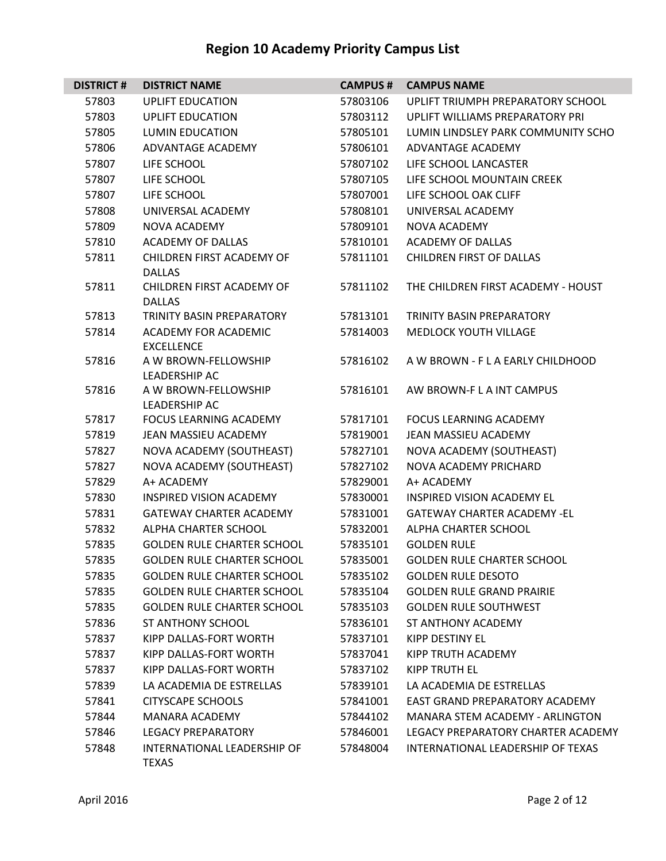| <b>DISTRICT#</b> | <b>DISTRICT NAME</b>                               | <b>CAMPUS#</b> | <b>CAMPUS NAME</b>                 |
|------------------|----------------------------------------------------|----------------|------------------------------------|
| 57803            | <b>UPLIFT EDUCATION</b>                            | 57803106       | UPLIFT TRIUMPH PREPARATORY SCHOOL  |
| 57803            | <b>UPLIFT EDUCATION</b>                            | 57803112       | UPLIFT WILLIAMS PREPARATORY PRI    |
| 57805            | LUMIN EDUCATION                                    | 57805101       | LUMIN LINDSLEY PARK COMMUNITY SCHO |
| 57806            | ADVANTAGE ACADEMY                                  | 57806101       | ADVANTAGE ACADEMY                  |
| 57807            | LIFE SCHOOL                                        | 57807102       | LIFE SCHOOL LANCASTER              |
| 57807            | LIFE SCHOOL                                        | 57807105       | LIFE SCHOOL MOUNTAIN CREEK         |
| 57807            | LIFE SCHOOL                                        | 57807001       | LIFE SCHOOL OAK CLIFF              |
| 57808            | UNIVERSAL ACADEMY                                  | 57808101       | UNIVERSAL ACADEMY                  |
| 57809            | <b>NOVA ACADEMY</b>                                | 57809101       | <b>NOVA ACADEMY</b>                |
| 57810            | <b>ACADEMY OF DALLAS</b>                           | 57810101       | <b>ACADEMY OF DALLAS</b>           |
| 57811            | CHILDREN FIRST ACADEMY OF<br><b>DALLAS</b>         | 57811101       | <b>CHILDREN FIRST OF DALLAS</b>    |
| 57811            | CHILDREN FIRST ACADEMY OF<br><b>DALLAS</b>         | 57811102       | THE CHILDREN FIRST ACADEMY - HOUST |
| 57813            | <b>TRINITY BASIN PREPARATORY</b>                   | 57813101       | <b>TRINITY BASIN PREPARATORY</b>   |
| 57814            | <b>ACADEMY FOR ACADEMIC</b><br><b>EXCELLENCE</b>   | 57814003       | <b>MEDLOCK YOUTH VILLAGE</b>       |
| 57816            | A W BROWN-FELLOWSHIP<br>LEADERSHIP AC              | 57816102       | A W BROWN - F L A EARLY CHILDHOOD  |
| 57816            | A W BROWN-FELLOWSHIP<br>LEADERSHIP AC              | 57816101       | AW BROWN-F L A INT CAMPUS          |
| 57817            | <b>FOCUS LEARNING ACADEMY</b>                      | 57817101       | <b>FOCUS LEARNING ACADEMY</b>      |
| 57819            | JEAN MASSIEU ACADEMY                               | 57819001       | JEAN MASSIEU ACADEMY               |
| 57827            | NOVA ACADEMY (SOUTHEAST)                           | 57827101       | NOVA ACADEMY (SOUTHEAST)           |
| 57827            | NOVA ACADEMY (SOUTHEAST)                           | 57827102       | NOVA ACADEMY PRICHARD              |
| 57829            | A+ ACADEMY                                         | 57829001       | A+ ACADEMY                         |
| 57830            | <b>INSPIRED VISION ACADEMY</b>                     | 57830001       | INSPIRED VISION ACADEMY EL         |
| 57831            | <b>GATEWAY CHARTER ACADEMY</b>                     | 57831001       | <b>GATEWAY CHARTER ACADEMY -EL</b> |
| 57832            | ALPHA CHARTER SCHOOL                               | 57832001       | ALPHA CHARTER SCHOOL               |
| 57835            | <b>GOLDEN RULE CHARTER SCHOOL</b>                  | 57835101       | <b>GOLDEN RULE</b>                 |
| 57835            | <b>GOLDEN RULE CHARTER SCHOOL</b>                  | 57835001       | GOLDEN RULE CHARTER SCHOOL         |
| 57835            | <b>GOLDEN RULE CHARTER SCHOOL</b>                  | 57835102       | <b>GOLDEN RULE DESOTO</b>          |
| 57835            | <b>GOLDEN RULE CHARTER SCHOOL</b>                  | 57835104       | <b>GOLDEN RULE GRAND PRAIRIE</b>   |
| 57835            | <b>GOLDEN RULE CHARTER SCHOOL</b>                  | 57835103       | <b>GOLDEN RULE SOUTHWEST</b>       |
| 57836            | <b>ST ANTHONY SCHOOL</b>                           | 57836101       | ST ANTHONY ACADEMY                 |
| 57837            | KIPP DALLAS-FORT WORTH                             | 57837101       | <b>KIPP DESTINY EL</b>             |
| 57837            | KIPP DALLAS-FORT WORTH                             | 57837041       | KIPP TRUTH ACADEMY                 |
| 57837            | KIPP DALLAS-FORT WORTH                             | 57837102       | <b>KIPP TRUTH EL</b>               |
| 57839            | LA ACADEMIA DE ESTRELLAS                           | 57839101       | LA ACADEMIA DE ESTRELLAS           |
| 57841            | CITYSCAPE SCHOOLS                                  | 57841001       | EAST GRAND PREPARATORY ACADEMY     |
| 57844            | <b>MANARA ACADEMY</b>                              | 57844102       | MANARA STEM ACADEMY - ARLINGTON    |
| 57846            | <b>LEGACY PREPARATORY</b>                          | 57846001       | LEGACY PREPARATORY CHARTER ACADEMY |
| 57848            | <b>INTERNATIONAL LEADERSHIP OF</b><br><b>TEXAS</b> | 57848004       | INTERNATIONAL LEADERSHIP OF TEXAS  |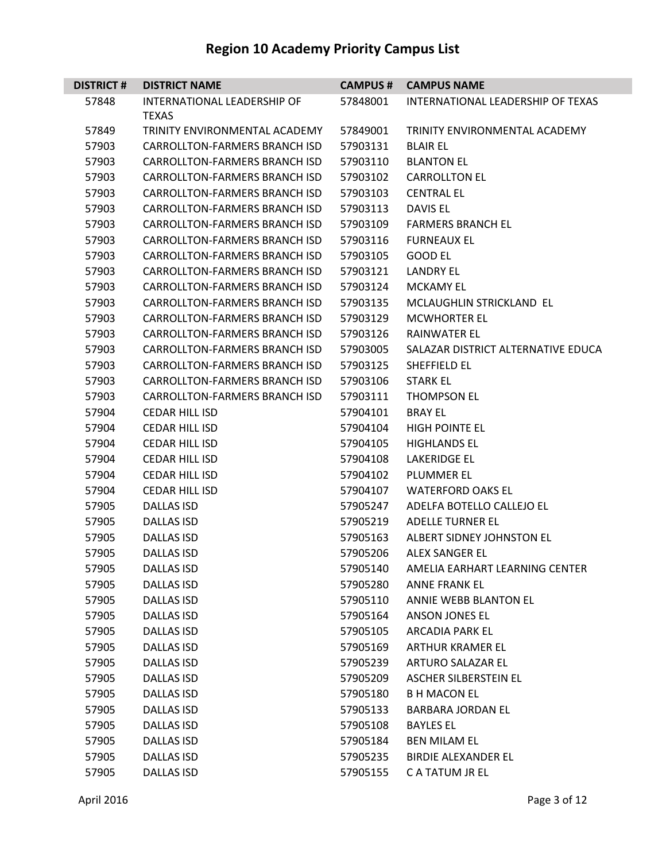| <b>DISTRICT#</b> | <b>DISTRICT NAME</b>                 | <b>CAMPUS #</b> | <b>CAMPUS NAME</b>                 |
|------------------|--------------------------------------|-----------------|------------------------------------|
| 57848            | <b>INTERNATIONAL LEADERSHIP OF</b>   | 57848001        | INTERNATIONAL LEADERSHIP OF TEXAS  |
|                  | <b>TEXAS</b>                         |                 |                                    |
| 57849            | TRINITY ENVIRONMENTAL ACADEMY        | 57849001        | TRINITY ENVIRONMENTAL ACADEMY      |
| 57903            | <b>CARROLLTON-FARMERS BRANCH ISD</b> | 57903131        | <b>BLAIR EL</b>                    |
| 57903            | <b>CARROLLTON-FARMERS BRANCH ISD</b> | 57903110        | <b>BLANTON EL</b>                  |
| 57903            | <b>CARROLLTON-FARMERS BRANCH ISD</b> | 57903102        | <b>CARROLLTON EL</b>               |
| 57903            | CARROLLTON-FARMERS BRANCH ISD        | 57903103        | <b>CENTRAL EL</b>                  |
| 57903            | <b>CARROLLTON-FARMERS BRANCH ISD</b> | 57903113        | <b>DAVIS EL</b>                    |
| 57903            | <b>CARROLLTON-FARMERS BRANCH ISD</b> | 57903109        | <b>FARMERS BRANCH EL</b>           |
| 57903            | <b>CARROLLTON-FARMERS BRANCH ISD</b> | 57903116        | <b>FURNEAUX EL</b>                 |
| 57903            | <b>CARROLLTON-FARMERS BRANCH ISD</b> | 57903105        | <b>GOOD EL</b>                     |
| 57903            | CARROLLTON-FARMERS BRANCH ISD        | 57903121        | <b>LANDRY EL</b>                   |
| 57903            | <b>CARROLLTON-FARMERS BRANCH ISD</b> | 57903124        | <b>MCKAMY EL</b>                   |
| 57903            | <b>CARROLLTON-FARMERS BRANCH ISD</b> | 57903135        | MCLAUGHLIN STRICKLAND EL           |
| 57903            | <b>CARROLLTON-FARMERS BRANCH ISD</b> | 57903129        | <b>MCWHORTER EL</b>                |
| 57903            | <b>CARROLLTON-FARMERS BRANCH ISD</b> | 57903126        | <b>RAINWATER EL</b>                |
| 57903            | <b>CARROLLTON-FARMERS BRANCH ISD</b> | 57903005        | SALAZAR DISTRICT ALTERNATIVE EDUCA |
| 57903            | <b>CARROLLTON-FARMERS BRANCH ISD</b> | 57903125        | SHEFFIELD EL                       |
| 57903            | <b>CARROLLTON-FARMERS BRANCH ISD</b> | 57903106        | <b>STARK EL</b>                    |
| 57903            | <b>CARROLLTON-FARMERS BRANCH ISD</b> | 57903111        | <b>THOMPSON EL</b>                 |
| 57904            | <b>CEDAR HILL ISD</b>                | 57904101        | <b>BRAY EL</b>                     |
| 57904            | <b>CEDAR HILL ISD</b>                | 57904104        | <b>HIGH POINTE EL</b>              |
| 57904            | <b>CEDAR HILL ISD</b>                | 57904105        | <b>HIGHLANDS EL</b>                |
| 57904            | <b>CEDAR HILL ISD</b>                | 57904108        | <b>LAKERIDGE EL</b>                |
| 57904            | <b>CEDAR HILL ISD</b>                | 57904102        | <b>PLUMMER EL</b>                  |
| 57904            | <b>CEDAR HILL ISD</b>                | 57904107        | <b>WATERFORD OAKS EL</b>           |
| 57905            | <b>DALLAS ISD</b>                    | 57905247        | ADELFA BOTELLO CALLEJO EL          |
| 57905            | <b>DALLAS ISD</b>                    | 57905219        | <b>ADELLE TURNER EL</b>            |
| 57905            | <b>DALLAS ISD</b>                    | 57905163        | ALBERT SIDNEY JOHNSTON EL          |
| 57905            | <b>DALLAS ISD</b>                    | 57905206        | <b>ALEX SANGER EL</b>              |
| 57905            | <b>DALLAS ISD</b>                    | 57905140        | AMELIA EARHART LEARNING CENTER     |
| 57905            | <b>DALLAS ISD</b>                    | 57905280        | <b>ANNE FRANK EL</b>               |
| 57905            | DALLAS ISD                           | 57905110        | ANNIE WEBB BLANTON EL              |
| 57905            | DALLAS ISD                           | 57905164        | ANSON JONES EL                     |
| 57905            | <b>DALLAS ISD</b>                    | 57905105        | <b>ARCADIA PARK EL</b>             |
| 57905            | <b>DALLAS ISD</b>                    | 57905169        | ARTHUR KRAMER EL                   |
| 57905            | <b>DALLAS ISD</b>                    | 57905239        | ARTURO SALAZAR EL                  |
| 57905            | <b>DALLAS ISD</b>                    | 57905209        | ASCHER SILBERSTEIN EL              |
| 57905            | DALLAS ISD                           | 57905180        | <b>B H MACON EL</b>                |
| 57905            | <b>DALLAS ISD</b>                    | 57905133        | <b>BARBARA JORDAN EL</b>           |
| 57905            | <b>DALLAS ISD</b>                    | 57905108        | <b>BAYLES EL</b>                   |
| 57905            | DALLAS ISD                           | 57905184        | <b>BEN MILAM EL</b>                |
| 57905            | <b>DALLAS ISD</b>                    | 57905235        | <b>BIRDIE ALEXANDER EL</b>         |
| 57905            | <b>DALLAS ISD</b>                    | 57905155        | C A TATUM JR EL                    |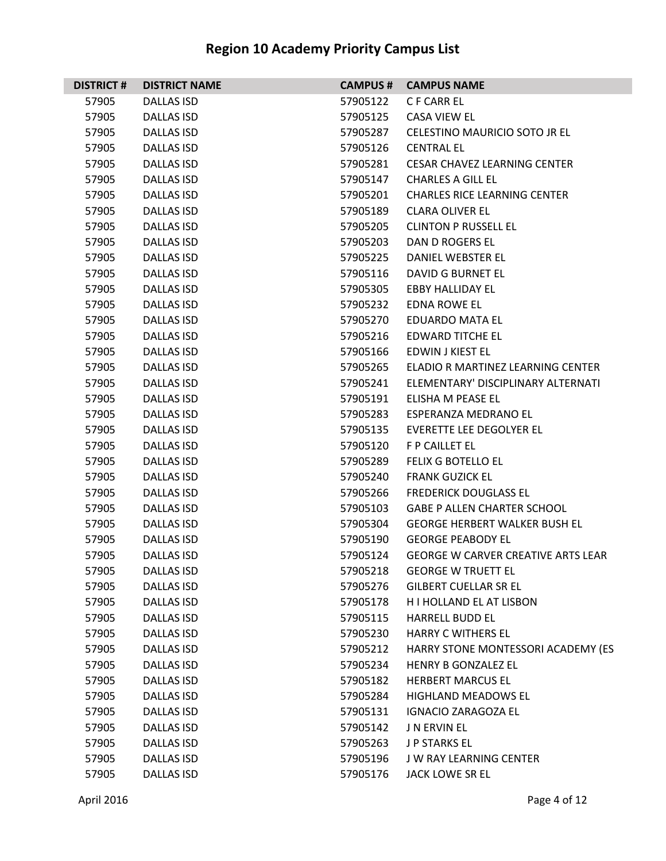| <b>DISTRICT#</b> | <b>DISTRICT NAME</b> | <b>CAMPUS #</b> | <b>CAMPUS NAME</b>                        |
|------------------|----------------------|-----------------|-------------------------------------------|
| 57905            | <b>DALLAS ISD</b>    | 57905122        | C F CARR EL                               |
| 57905            | <b>DALLAS ISD</b>    | 57905125        | <b>CASA VIEW EL</b>                       |
| 57905            | <b>DALLAS ISD</b>    | 57905287        | CELESTINO MAURICIO SOTO JR EL             |
| 57905            | DALLAS ISD           | 57905126        | <b>CENTRAL EL</b>                         |
| 57905            | <b>DALLAS ISD</b>    | 57905281        | <b>CESAR CHAVEZ LEARNING CENTER</b>       |
| 57905            | <b>DALLAS ISD</b>    | 57905147        | <b>CHARLES A GILL EL</b>                  |
| 57905            | <b>DALLAS ISD</b>    | 57905201        | <b>CHARLES RICE LEARNING CENTER</b>       |
| 57905            | <b>DALLAS ISD</b>    | 57905189        | <b>CLARA OLIVER EL</b>                    |
| 57905            | DALLAS ISD           | 57905205        | <b>CLINTON P RUSSELL EL</b>               |
| 57905            | <b>DALLAS ISD</b>    | 57905203        | DAN D ROGERS EL                           |
| 57905            | <b>DALLAS ISD</b>    | 57905225        | DANIEL WEBSTER EL                         |
| 57905            | <b>DALLAS ISD</b>    | 57905116        | DAVID G BURNET EL                         |
| 57905            | <b>DALLAS ISD</b>    | 57905305        | <b>EBBY HALLIDAY EL</b>                   |
| 57905            | DALLAS ISD           | 57905232        | <b>EDNA ROWE EL</b>                       |
| 57905            | <b>DALLAS ISD</b>    | 57905270        | <b>EDUARDO MATA EL</b>                    |
| 57905            | <b>DALLAS ISD</b>    | 57905216        | <b>EDWARD TITCHE EL</b>                   |
| 57905            | <b>DALLAS ISD</b>    | 57905166        | EDWIN J KIEST EL                          |
| 57905            | <b>DALLAS ISD</b>    | 57905265        | ELADIO R MARTINEZ LEARNING CENTER         |
| 57905            | DALLAS ISD           | 57905241        | ELEMENTARY' DISCIPLINARY ALTERNATI        |
| 57905            | <b>DALLAS ISD</b>    | 57905191        | ELISHA M PEASE EL                         |
| 57905            | <b>DALLAS ISD</b>    | 57905283        | ESPERANZA MEDRANO EL                      |
| 57905            | <b>DALLAS ISD</b>    | 57905135        | <b>EVERETTE LEE DEGOLYER EL</b>           |
| 57905            | <b>DALLAS ISD</b>    | 57905120        | F P CAILLET EL                            |
| 57905            | DALLAS ISD           | 57905289        | <b>FELIX G BOTELLO EL</b>                 |
| 57905            | <b>DALLAS ISD</b>    | 57905240        | <b>FRANK GUZICK EL</b>                    |
| 57905            | <b>DALLAS ISD</b>    | 57905266        | <b>FREDERICK DOUGLASS EL</b>              |
| 57905            | <b>DALLAS ISD</b>    | 57905103        | <b>GABE P ALLEN CHARTER SCHOOL</b>        |
| 57905            | <b>DALLAS ISD</b>    | 57905304        | <b>GEORGE HERBERT WALKER BUSH EL</b>      |
| 57905            | DALLAS ISD           | 57905190        | <b>GEORGE PEABODY EL</b>                  |
| 57905            | <b>DALLAS ISD</b>    | 57905124        | <b>GEORGE W CARVER CREATIVE ARTS LEAR</b> |
| 57905            | <b>DALLAS ISD</b>    | 57905218        | <b>GEORGE W TRUETT EL</b>                 |
| 57905            | <b>DALLAS ISD</b>    | 57905276        | <b>GILBERT CUELLAR SR EL</b>              |
| 57905            | DALLAS ISD           | 57905178        | H I HOLLAND EL AT LISBON                  |
| 57905            | <b>DALLAS ISD</b>    | 57905115        | <b>HARRELL BUDD EL</b>                    |
| 57905            | <b>DALLAS ISD</b>    | 57905230        | <b>HARRY C WITHERS EL</b>                 |
| 57905            | DALLAS ISD           | 57905212        | HARRY STONE MONTESSORI ACADEMY (ES        |
| 57905            | DALLAS ISD           | 57905234        | HENRY B GONZALEZ EL                       |
| 57905            | <b>DALLAS ISD</b>    | 57905182        | <b>HERBERT MARCUS EL</b>                  |
| 57905            | <b>DALLAS ISD</b>    | 57905284        | <b>HIGHLAND MEADOWS EL</b>                |
| 57905            | <b>DALLAS ISD</b>    | 57905131        | <b>IGNACIO ZARAGOZA EL</b>                |
| 57905            | DALLAS ISD           | 57905142        | <b>J N ERVIN EL</b>                       |
| 57905            | <b>DALLAS ISD</b>    | 57905263        | <b>J P STARKS EL</b>                      |
| 57905            | <b>DALLAS ISD</b>    | 57905196        | <b>JW RAY LEARNING CENTER</b>             |
| 57905            | <b>DALLAS ISD</b>    | 57905176        | JACK LOWE SR EL                           |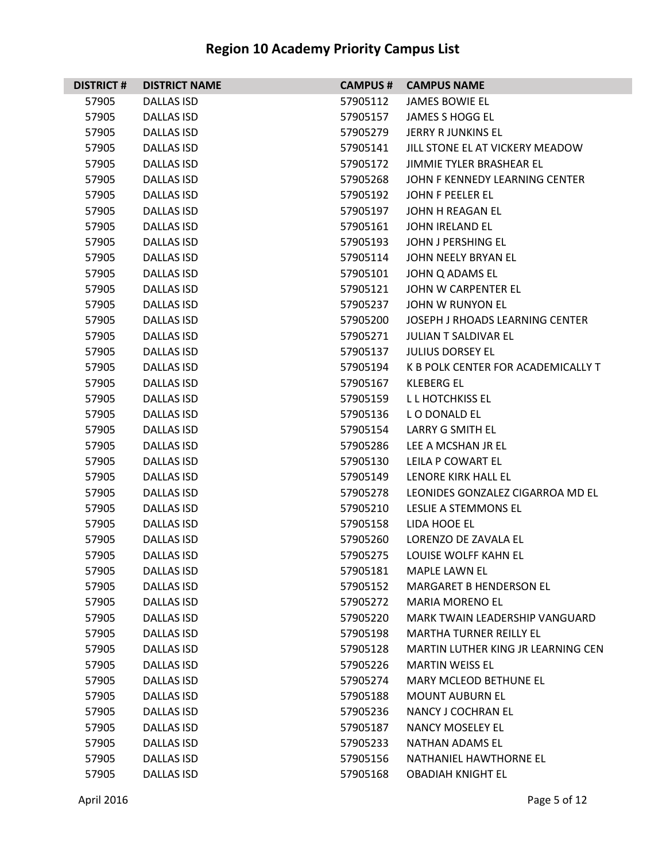| <b>DISTRICT#</b> | <b>DISTRICT NAME</b> | <b>CAMPUS #</b> | <b>CAMPUS NAME</b>                 |
|------------------|----------------------|-----------------|------------------------------------|
| 57905            | DALLAS ISD           | 57905112        | <b>JAMES BOWIE EL</b>              |
| 57905            | DALLAS ISD           | 57905157        | <b>JAMES S HOGG EL</b>             |
| 57905            | <b>DALLAS ISD</b>    | 57905279        | <b>JERRY R JUNKINS EL</b>          |
| 57905            | DALLAS ISD           | 57905141        | JILL STONE EL AT VICKERY MEADOW    |
| 57905            | <b>DALLAS ISD</b>    | 57905172        | JIMMIE TYLER BRASHEAR EL           |
| 57905            | DALLAS ISD           | 57905268        | JOHN F KENNEDY LEARNING CENTER     |
| 57905            | <b>DALLAS ISD</b>    | 57905192        | JOHN F PEELER EL                   |
| 57905            | <b>DALLAS ISD</b>    | 57905197        | JOHN H REAGAN EL                   |
| 57905            | <b>DALLAS ISD</b>    | 57905161        | <b>JOHN IRELAND EL</b>             |
| 57905            | <b>DALLAS ISD</b>    | 57905193        | JOHN J PERSHING EL                 |
| 57905            | DALLAS ISD           | 57905114        | JOHN NEELY BRYAN EL                |
| 57905            | <b>DALLAS ISD</b>    | 57905101        | JOHN Q ADAMS EL                    |
| 57905            | <b>DALLAS ISD</b>    | 57905121        | JOHN W CARPENTER EL                |
| 57905            | DALLAS ISD           | 57905237        | JOHN W RUNYON EL                   |
| 57905            | <b>DALLAS ISD</b>    | 57905200        | JOSEPH J RHOADS LEARNING CENTER    |
| 57905            | DALLAS ISD           | 57905271        | <b>JULIAN T SALDIVAR EL</b>        |
| 57905            | <b>DALLAS ISD</b>    | 57905137        | <b>JULIUS DORSEY EL</b>            |
| 57905            | <b>DALLAS ISD</b>    | 57905194        | K B POLK CENTER FOR ACADEMICALLY T |
| 57905            | DALLAS ISD           | 57905167        | KLEBERG EL                         |
| 57905            | <b>DALLAS ISD</b>    | 57905159        | L L HOTCHKISS EL                   |
| 57905            | DALLAS ISD           | 57905136        | LO DONALD EL                       |
| 57905            | <b>DALLAS ISD</b>    | 57905154        | <b>LARRY G SMITH EL</b>            |
| 57905            | <b>DALLAS ISD</b>    | 57905286        | LEE A MCSHAN JR EL                 |
| 57905            | DALLAS ISD           | 57905130        | LEILA P COWART EL                  |
| 57905            | <b>DALLAS ISD</b>    | 57905149        | LENORE KIRK HALL EL                |
| 57905            | DALLAS ISD           | 57905278        | LEONIDES GONZALEZ CIGARROA MD EL   |
| 57905            | <b>DALLAS ISD</b>    | 57905210        | LESLIE A STEMMONS EL               |
| 57905            | <b>DALLAS ISD</b>    | 57905158        | LIDA HOOE EL                       |
| 57905            | DALLAS ISD           | 57905260        | LORENZO DE ZAVALA EL               |
| 57905            | <b>DALLAS ISD</b>    | 57905275        | LOUISE WOLFF KAHN EL               |
| 57905            | <b>DALLAS ISD</b>    | 57905181        | <b>MAPLE LAWN EL</b>               |
| 57905            | <b>DALLAS ISD</b>    | 57905152        | <b>MARGARET B HENDERSON EL</b>     |
| 57905            | DALLAS ISD           | 57905272        | <b>MARIA MORENO EL</b>             |
| 57905            | DALLAS ISD           | 57905220        | MARK TWAIN LEADERSHIP VANGUARD     |
| 57905            | <b>DALLAS ISD</b>    | 57905198        | <b>MARTHA TURNER REILLY EL</b>     |
| 57905            | <b>DALLAS ISD</b>    | 57905128        | MARTIN LUTHER KING JR LEARNING CEN |
| 57905            | DALLAS ISD           | 57905226        | <b>MARTIN WEISS EL</b>             |
| 57905            | <b>DALLAS ISD</b>    | 57905274        | <b>MARY MCLEOD BETHUNE EL</b>      |
| 57905            | DALLAS ISD           | 57905188        | <b>MOUNT AUBURN EL</b>             |
| 57905            | <b>DALLAS ISD</b>    | 57905236        | NANCY J COCHRAN EL                 |
| 57905            | <b>DALLAS ISD</b>    | 57905187        | <b>NANCY MOSELEY EL</b>            |
| 57905            | DALLAS ISD           | 57905233        | NATHAN ADAMS EL                    |
| 57905            | <b>DALLAS ISD</b>    | 57905156        | NATHANIEL HAWTHORNE EL             |
| 57905            | <b>DALLAS ISD</b>    | 57905168        | <b>OBADIAH KNIGHT EL</b>           |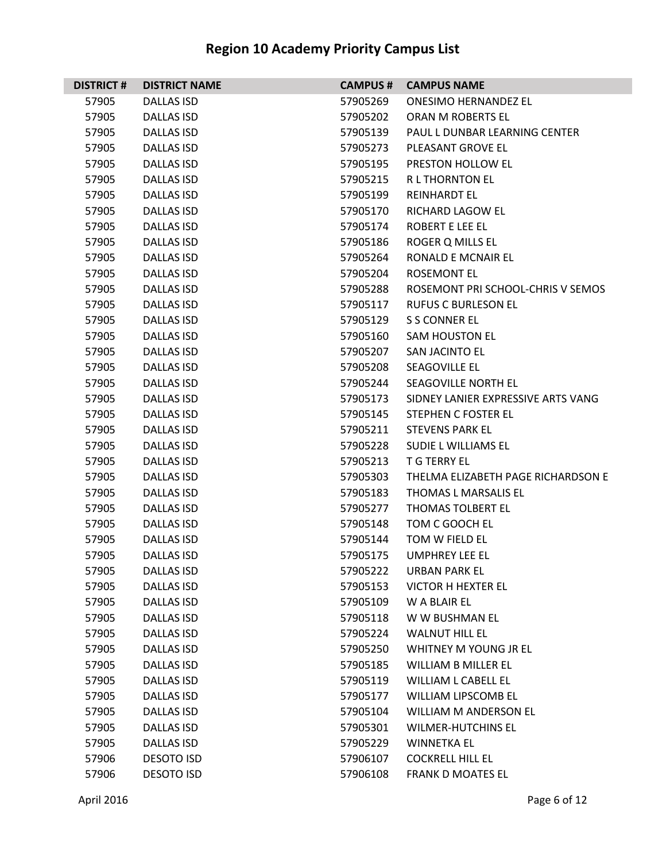| <b>DISTRICT#</b> | <b>DISTRICT NAME</b> | <b>CAMPUS #</b> | <b>CAMPUS NAME</b>                 |
|------------------|----------------------|-----------------|------------------------------------|
| 57905            | <b>DALLAS ISD</b>    | 57905269        | <b>ONESIMO HERNANDEZ EL</b>        |
| 57905            | DALLAS ISD           | 57905202        | ORAN M ROBERTS EL                  |
| 57905            | <b>DALLAS ISD</b>    | 57905139        | PAUL L DUNBAR LEARNING CENTER      |
| 57905            | DALLAS ISD           | 57905273        | PLEASANT GROVE EL                  |
| 57905            | <b>DALLAS ISD</b>    | 57905195        | PRESTON HOLLOW EL                  |
| 57905            | DALLAS ISD           | 57905215        | <b>RL THORNTON EL</b>              |
| 57905            | <b>DALLAS ISD</b>    | 57905199        | <b>REINHARDT EL</b>                |
| 57905            | <b>DALLAS ISD</b>    | 57905170        | <b>RICHARD LAGOW EL</b>            |
| 57905            | DALLAS ISD           | 57905174        | <b>ROBERT E LEE EL</b>             |
| 57905            | <b>DALLAS ISD</b>    | 57905186        | <b>ROGER Q MILLS EL</b>            |
| 57905            | DALLAS ISD           | 57905264        | RONALD E MCNAIR EL                 |
| 57905            | <b>DALLAS ISD</b>    | 57905204        | <b>ROSEMONT EL</b>                 |
| 57905            | <b>DALLAS ISD</b>    | 57905288        | ROSEMONT PRI SCHOOL-CHRIS V SEMOS  |
| 57905            | DALLAS ISD           | 57905117        | <b>RUFUS C BURLESON EL</b>         |
| 57905            | <b>DALLAS ISD</b>    | 57905129        | S S CONNER EL                      |
| 57905            | DALLAS ISD           | 57905160        | <b>SAM HOUSTON EL</b>              |
| 57905            | <b>DALLAS ISD</b>    | 57905207        | <b>SAN JACINTO EL</b>              |
| 57905            | <b>DALLAS ISD</b>    | 57905208        | SEAGOVILLE EL                      |
| 57905            | DALLAS ISD           | 57905244        | SEAGOVILLE NORTH EL                |
| 57905            | <b>DALLAS ISD</b>    | 57905173        | SIDNEY LANIER EXPRESSIVE ARTS VANG |
| 57905            | DALLAS ISD           | 57905145        | STEPHEN C FOSTER EL                |
| 57905            | <b>DALLAS ISD</b>    | 57905211        | <b>STEVENS PARK EL</b>             |
| 57905            | <b>DALLAS ISD</b>    | 57905228        | SUDIE L WILLIAMS EL                |
| 57905            | DALLAS ISD           | 57905213        | <b>T G TERRY EL</b>                |
| 57905            | <b>DALLAS ISD</b>    | 57905303        | THELMA ELIZABETH PAGE RICHARDSON E |
| 57905            | DALLAS ISD           | 57905183        | THOMAS L MARSALIS EL               |
| 57905            | <b>DALLAS ISD</b>    | 57905277        | THOMAS TOLBERT EL                  |
| 57905            | <b>DALLAS ISD</b>    | 57905148        | TOM C GOOCH EL                     |
| 57905            | <b>DALLAS ISD</b>    | 57905144        | TOM W FIELD EL                     |
| 57905            | <b>DALLAS ISD</b>    | 57905175        | <b>UMPHREY LEE EL</b>              |
| 57905            | <b>DALLAS ISD</b>    | 57905222        | <b>URBAN PARK EL</b>               |
| 57905            | <b>DALLAS ISD</b>    | 57905153        | <b>VICTOR H HEXTER EL</b>          |
| 57905            | DALLAS ISD           | 57905109        | W A BLAIR EL                       |
| 57905            | <b>DALLAS ISD</b>    | 57905118        | W W BUSHMAN EL                     |
| 57905            | <b>DALLAS ISD</b>    | 57905224        | <b>WALNUT HILL EL</b>              |
| 57905            | <b>DALLAS ISD</b>    | 57905250        | WHITNEY M YOUNG JR EL              |
| 57905            | DALLAS ISD           | 57905185        | <b>WILLIAM B MILLER EL</b>         |
| 57905            | <b>DALLAS ISD</b>    | 57905119        | <b>WILLIAM L CABELL EL</b>         |
| 57905            | <b>DALLAS ISD</b>    | 57905177        | WILLIAM LIPSCOMB EL                |
| 57905            | <b>DALLAS ISD</b>    | 57905104        | <b>WILLIAM M ANDERSON EL</b>       |
| 57905            | <b>DALLAS ISD</b>    | 57905301        | <b>WILMER-HUTCHINS EL</b>          |
| 57905            | DALLAS ISD           | 57905229        | <b>WINNETKA EL</b>                 |
| 57906            | <b>DESOTO ISD</b>    | 57906107        | <b>COCKRELL HILL EL</b>            |
| 57906            | <b>DESOTO ISD</b>    | 57906108        | <b>FRANK D MOATES EL</b>           |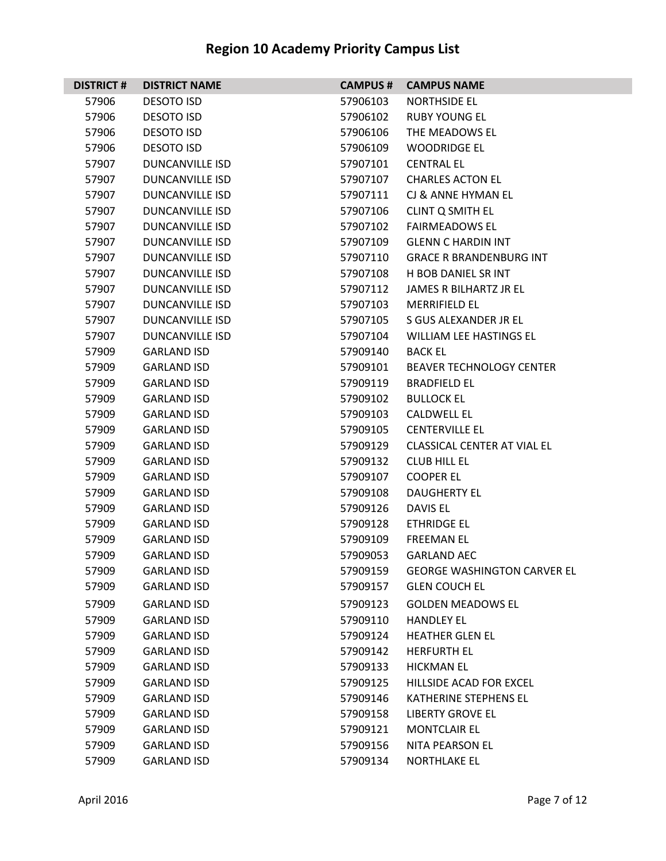| <b>DISTRICT#</b> | <b>DISTRICT NAME</b>   | <b>CAMPUS#</b> | <b>CAMPUS NAME</b>                 |
|------------------|------------------------|----------------|------------------------------------|
| 57906            | <b>DESOTO ISD</b>      | 57906103       | NORTHSIDE EL                       |
| 57906            | <b>DESOTO ISD</b>      | 57906102       | <b>RUBY YOUNG EL</b>               |
| 57906            | <b>DESOTO ISD</b>      | 57906106       | THE MEADOWS EL                     |
| 57906            | <b>DESOTO ISD</b>      | 57906109       | <b>WOODRIDGE EL</b>                |
| 57907            | <b>DUNCANVILLE ISD</b> | 57907101       | <b>CENTRAL EL</b>                  |
| 57907            | <b>DUNCANVILLE ISD</b> | 57907107       | <b>CHARLES ACTON EL</b>            |
| 57907            | DUNCANVILLE ISD        | 57907111       | CJ & ANNE HYMAN EL                 |
| 57907            | <b>DUNCANVILLE ISD</b> | 57907106       | <b>CLINT Q SMITH EL</b>            |
| 57907            | DUNCANVILLE ISD        | 57907102       | <b>FAIRMEADOWS EL</b>              |
| 57907            | <b>DUNCANVILLE ISD</b> | 57907109       | <b>GLENN C HARDIN INT</b>          |
| 57907            | <b>DUNCANVILLE ISD</b> | 57907110       | <b>GRACE R BRANDENBURG INT</b>     |
| 57907            | DUNCANVILLE ISD        | 57907108       | <b>H BOB DANIEL SR INT</b>         |
| 57907            | <b>DUNCANVILLE ISD</b> | 57907112       | JAMES R BILHARTZ JR EL             |
| 57907            | DUNCANVILLE ISD        | 57907103       | <b>MERRIFIELD EL</b>               |
| 57907            | <b>DUNCANVILLE ISD</b> | 57907105       | S GUS ALEXANDER JR EL              |
| 57907            | <b>DUNCANVILLE ISD</b> | 57907104       | WILLIAM LEE HASTINGS EL            |
| 57909            | <b>GARLAND ISD</b>     | 57909140       | <b>BACK EL</b>                     |
| 57909            | <b>GARLAND ISD</b>     | 57909101       | <b>BEAVER TECHNOLOGY CENTER</b>    |
| 57909            | <b>GARLAND ISD</b>     | 57909119       | <b>BRADFIELD EL</b>                |
| 57909            | <b>GARLAND ISD</b>     | 57909102       | <b>BULLOCK EL</b>                  |
| 57909            | <b>GARLAND ISD</b>     | 57909103       | <b>CALDWELL EL</b>                 |
| 57909            | <b>GARLAND ISD</b>     | 57909105       | <b>CENTERVILLE EL</b>              |
| 57909            | <b>GARLAND ISD</b>     | 57909129       | <b>CLASSICAL CENTER AT VIAL EL</b> |
| 57909            | <b>GARLAND ISD</b>     | 57909132       | <b>CLUB HILL EL</b>                |
| 57909            | <b>GARLAND ISD</b>     | 57909107       | <b>COOPER EL</b>                   |
| 57909            | <b>GARLAND ISD</b>     | 57909108       | <b>DAUGHERTY EL</b>                |
| 57909            | <b>GARLAND ISD</b>     | 57909126       | <b>DAVIS EL</b>                    |
| 57909            | <b>GARLAND ISD</b>     | 57909128       | <b>ETHRIDGE EL</b>                 |
| 57909            | <b>GARLAND ISD</b>     | 57909109       | <b>FREEMAN EL</b>                  |
| 57909            | <b>GARLAND ISD</b>     | 57909053       | <b>GARLAND AEC</b>                 |
| 57909            | <b>GARLAND ISD</b>     | 57909159       | <b>GEORGE WASHINGTON CARVER EL</b> |
| 57909            | <b>GARLAND ISD</b>     | 57909157       | <b>GLEN COUCH EL</b>               |
| 57909            | <b>GARLAND ISD</b>     | 57909123       | <b>GOLDEN MEADOWS EL</b>           |
| 57909            | <b>GARLAND ISD</b>     | 57909110       | <b>HANDLEY EL</b>                  |
| 57909            | <b>GARLAND ISD</b>     | 57909124       | <b>HEATHER GLEN EL</b>             |
| 57909            | <b>GARLAND ISD</b>     | 57909142       | <b>HERFURTH EL</b>                 |
| 57909            | <b>GARLAND ISD</b>     | 57909133       | <b>HICKMAN EL</b>                  |
| 57909            | <b>GARLAND ISD</b>     | 57909125       | HILLSIDE ACAD FOR EXCEL            |
| 57909            | <b>GARLAND ISD</b>     | 57909146       | KATHERINE STEPHENS EL              |
| 57909            | <b>GARLAND ISD</b>     | 57909158       | <b>LIBERTY GROVE EL</b>            |
| 57909            | <b>GARLAND ISD</b>     | 57909121       | <b>MONTCLAIR EL</b>                |
| 57909            | <b>GARLAND ISD</b>     | 57909156       | NITA PEARSON EL                    |
| 57909            | <b>GARLAND ISD</b>     | 57909134       | <b>NORTHLAKE EL</b>                |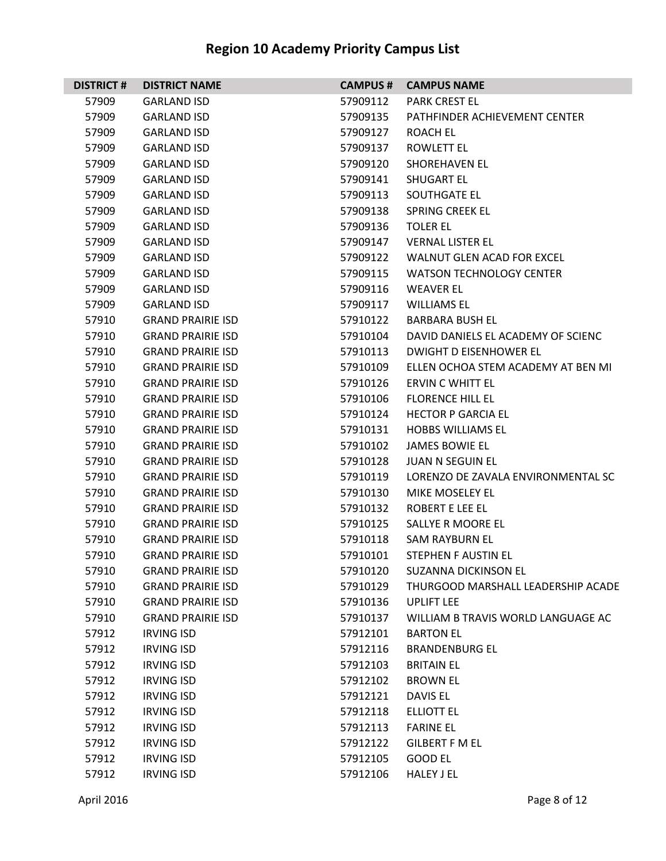| <b>DISTRICT#</b> | <b>DISTRICT NAME</b>     | <b>CAMPUS#</b> | <b>CAMPUS NAME</b>                 |
|------------------|--------------------------|----------------|------------------------------------|
| 57909            | <b>GARLAND ISD</b>       | 57909112       | <b>PARK CREST EL</b>               |
| 57909            | <b>GARLAND ISD</b>       | 57909135       | PATHFINDER ACHIEVEMENT CENTER      |
| 57909            | <b>GARLAND ISD</b>       | 57909127       | ROACH EL                           |
| 57909            | <b>GARLAND ISD</b>       | 57909137       | ROWLETT EL                         |
| 57909            | <b>GARLAND ISD</b>       | 57909120       | <b>SHOREHAVEN EL</b>               |
| 57909            | <b>GARLAND ISD</b>       | 57909141       | <b>SHUGART EL</b>                  |
| 57909            | <b>GARLAND ISD</b>       | 57909113       | SOUTHGATE EL                       |
| 57909            | <b>GARLAND ISD</b>       | 57909138       | <b>SPRING CREEK EL</b>             |
| 57909            | <b>GARLAND ISD</b>       | 57909136       | <b>TOLER EL</b>                    |
| 57909            | <b>GARLAND ISD</b>       | 57909147       | <b>VERNAL LISTER EL</b>            |
| 57909            | <b>GARLAND ISD</b>       | 57909122       | WALNUT GLEN ACAD FOR EXCEL         |
| 57909            | <b>GARLAND ISD</b>       | 57909115       | <b>WATSON TECHNOLOGY CENTER</b>    |
| 57909            | <b>GARLAND ISD</b>       | 57909116       | <b>WEAVER EL</b>                   |
| 57909            | <b>GARLAND ISD</b>       | 57909117       | <b>WILLIAMS EL</b>                 |
| 57910            | <b>GRAND PRAIRIE ISD</b> | 57910122       | <b>BARBARA BUSH EL</b>             |
| 57910            | <b>GRAND PRAIRIE ISD</b> | 57910104       | DAVID DANIELS EL ACADEMY OF SCIENC |
| 57910            | <b>GRAND PRAIRIE ISD</b> | 57910113       | <b>DWIGHT D EISENHOWER EL</b>      |
| 57910            | <b>GRAND PRAIRIE ISD</b> | 57910109       | ELLEN OCHOA STEM ACADEMY AT BEN MI |
| 57910            | <b>GRAND PRAIRIE ISD</b> | 57910126       | <b>ERVIN C WHITT EL</b>            |
| 57910            | <b>GRAND PRAIRIE ISD</b> | 57910106       | <b>FLORENCE HILL EL</b>            |
| 57910            | <b>GRAND PRAIRIE ISD</b> | 57910124       | <b>HECTOR P GARCIA EL</b>          |
| 57910            | <b>GRAND PRAIRIE ISD</b> | 57910131       | <b>HOBBS WILLIAMS EL</b>           |
| 57910            | <b>GRAND PRAIRIE ISD</b> | 57910102       | <b>JAMES BOWIE EL</b>              |
| 57910            | <b>GRAND PRAIRIE ISD</b> | 57910128       | <b>JUAN N SEGUIN EL</b>            |
| 57910            | <b>GRAND PRAIRIE ISD</b> | 57910119       | LORENZO DE ZAVALA ENVIRONMENTAL SC |
| 57910            | <b>GRAND PRAIRIE ISD</b> | 57910130       | <b>MIKE MOSELEY EL</b>             |
| 57910            | <b>GRAND PRAIRIE ISD</b> | 57910132       | <b>ROBERT E LEE EL</b>             |
| 57910            | <b>GRAND PRAIRIE ISD</b> | 57910125       | SALLYE R MOORE EL                  |
| 57910            | <b>GRAND PRAIRIE ISD</b> | 57910118       | <b>SAM RAYBURN EL</b>              |
| 57910            | <b>GRAND PRAIRIE ISD</b> | 57910101       | STEPHEN F AUSTIN EL                |
| 57910            | <b>GRAND PRAIRIE ISD</b> | 57910120       | <b>SUZANNA DICKINSON EL</b>        |
| 57910            | <b>GRAND PRAIRIE ISD</b> | 57910129       | THURGOOD MARSHALL LEADERSHIP ACADE |
| 57910            | <b>GRAND PRAIRIE ISD</b> | 57910136       | <b>UPLIFT LEE</b>                  |
| 57910            | <b>GRAND PRAIRIE ISD</b> | 57910137       | WILLIAM B TRAVIS WORLD LANGUAGE AC |
| 57912            | <b>IRVING ISD</b>        | 57912101       | <b>BARTON EL</b>                   |
| 57912            | <b>IRVING ISD</b>        | 57912116       | <b>BRANDENBURG EL</b>              |
| 57912            | <b>IRVING ISD</b>        | 57912103       | <b>BRITAIN EL</b>                  |
| 57912            | <b>IRVING ISD</b>        | 57912102       | <b>BROWN EL</b>                    |
| 57912            | <b>IRVING ISD</b>        | 57912121       | DAVIS EL                           |
| 57912            | <b>IRVING ISD</b>        | 57912118       | <b>ELLIOTT EL</b>                  |
| 57912            | <b>IRVING ISD</b>        | 57912113       | <b>FARINE EL</b>                   |
| 57912            | <b>IRVING ISD</b>        | 57912122       | <b>GILBERT F M EL</b>              |
| 57912            | <b>IRVING ISD</b>        | 57912105       | <b>GOOD EL</b>                     |
| 57912            | <b>IRVING ISD</b>        | 57912106       | <b>HALEY J EL</b>                  |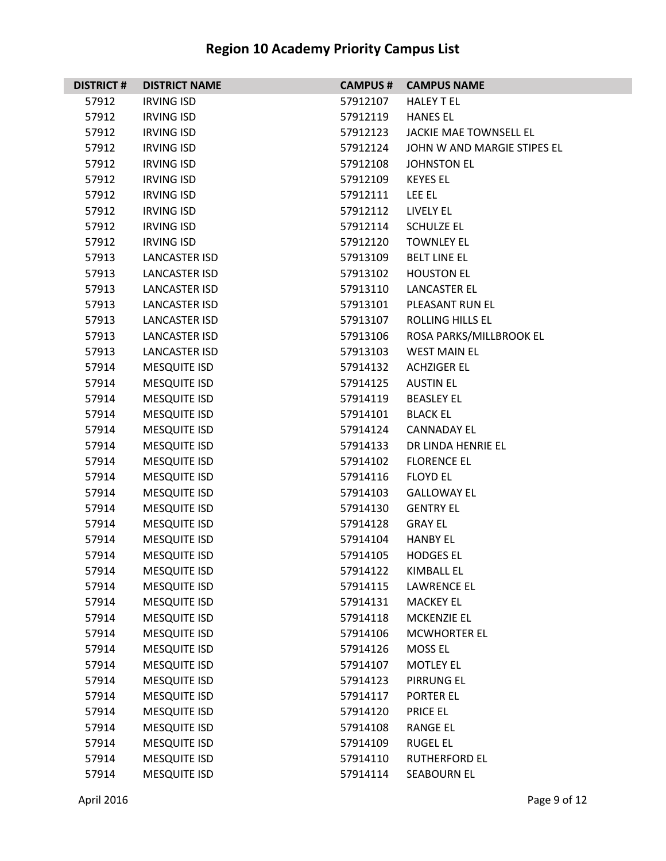## **DISTRICT # DISTRICT NAME CAMPUS # CAMPUS NAME** IRVING ISD 57912107 HALEY T EL IRVING ISD 57912119 HANES EL IRVING ISD 57912123 JACKIE MAE TOWNSELL EL IRVING ISD 57912124 JOHN W AND MARGIE STIPES EL IRVING ISD 57912108 JOHNSTON EL IRVING ISD 57912109 KEYES EL IRVING ISD 57912111 LEE EL IRVING ISD 57912112 LIVELY EL IRVING ISD 57912114 SCHULZE EL IRVING ISD 57912120 TOWNLEY EL LANCASTER ISD 57913109 BELT LINE EL LANCASTER ISD 57913102 HOUSTON EL LANCASTER ISD 57913110 LANCASTER EL LANCASTER ISD 57913101 PLEASANT RUN EL LANCASTER ISD 57913107 ROLLING HILLS EL LANCASTER ISD 57913106 ROSA PARKS/MILLBROOK EL LANCASTER ISD 57913103 WEST MAIN EL MESQUITE ISD 57914132 ACHZIGER EL MESQUITE ISD 57914125 AUSTIN EL 57914 MESQUITE ISD 57914119 BEASLEY EL 57914 MESQUITE ISD 57914101 BLACK EL 57914 MESQUITE ISD 57914124 CANNADAY EL MESQUITE ISD 57914133 DR LINDA HENRIE EL MESQUITE ISD 57914102 FLORENCE EL 57914 MESQUITE ISD 57914116 FLOYD EL MESQUITE ISD 57914103 GALLOWAY EL 57914 MESQUITE ISD 57914130 GENTRY EL 57914 MESQUITE ISD 57914128 GRAY EL MESQUITE ISD 57914104 HANBY EL 57914 MESQUITE ISD 57914105 HODGES EL MESQUITE ISD 57914122 KIMBALL EL 57914 MESQUITE ISD 57914115 LAWRENCE EL 57914 MESQUITE ISD 57914131 MACKEY EL MESQUITE ISD 57914118 MCKENZIE EL MESQUITE ISD 57914106 MCWHORTER EL MESQUITE ISD 57914126 MOSS EL 57914 MESQUITE ISD 57914107 MOTLEY EL 57914 MESQUITE ISD 57914123 PIRRUNG EL 57914 MESQUITE ISD 57914117 PORTER EL 57914 MESQUITE ISD 57914120 PRICE EL 57914 MESQUITE ISD 57914108 RANGE EL MESQUITE ISD 57914109 RUGEL EL 57914 MESQUITE ISD 57914110 RUTHERFORD EL MESQUITE ISD 57914114 SEABOURN EL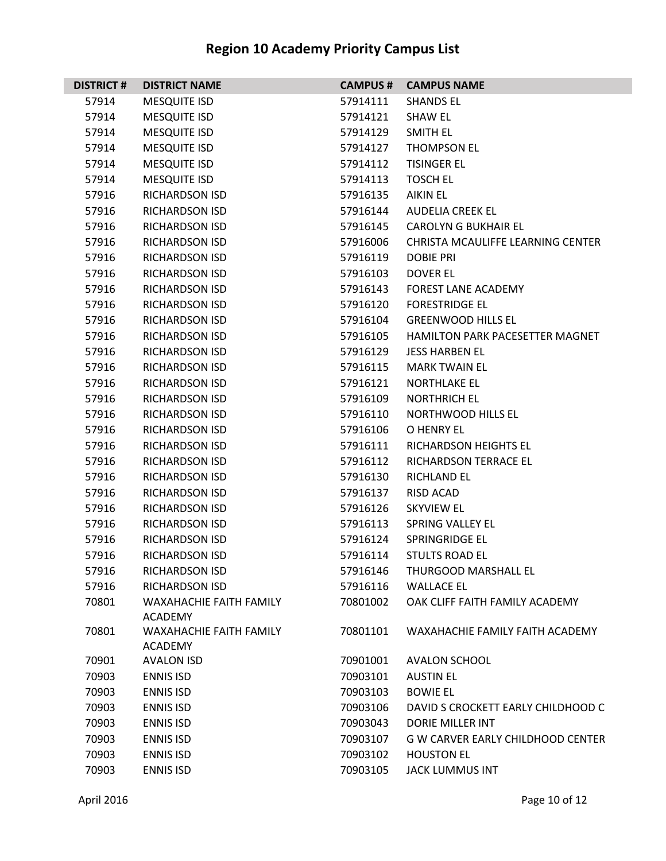| <b>DISTRICT#</b> | <b>DISTRICT NAME</b>                             | <b>CAMPUS #</b> | <b>CAMPUS NAME</b>                       |
|------------------|--------------------------------------------------|-----------------|------------------------------------------|
| 57914            | <b>MESQUITE ISD</b>                              | 57914111        | <b>SHANDS EL</b>                         |
| 57914            | <b>MESQUITE ISD</b>                              | 57914121        | <b>SHAW EL</b>                           |
| 57914            | <b>MESQUITE ISD</b>                              | 57914129        | SMITH EL                                 |
| 57914            | <b>MESQUITE ISD</b>                              | 57914127        | THOMPSON EL                              |
| 57914            | <b>MESQUITE ISD</b>                              | 57914112        | <b>TISINGER EL</b>                       |
| 57914            | <b>MESQUITE ISD</b>                              | 57914113        | <b>TOSCH EL</b>                          |
| 57916            | RICHARDSON ISD                                   | 57916135        | <b>AIKIN EL</b>                          |
| 57916            | RICHARDSON ISD                                   | 57916144        | <b>AUDELIA CREEK EL</b>                  |
| 57916            | RICHARDSON ISD                                   | 57916145        | <b>CAROLYN G BUKHAIR EL</b>              |
| 57916            | RICHARDSON ISD                                   | 57916006        | CHRISTA MCAULIFFE LEARNING CENTER        |
| 57916            | RICHARDSON ISD                                   | 57916119        | DOBIE PRI                                |
| 57916            | RICHARDSON ISD                                   | 57916103        | DOVER EL                                 |
| 57916            | RICHARDSON ISD                                   | 57916143        | <b>FOREST LANE ACADEMY</b>               |
| 57916            | RICHARDSON ISD                                   | 57916120        | <b>FORESTRIDGE EL</b>                    |
| 57916            | RICHARDSON ISD                                   | 57916104        | <b>GREENWOOD HILLS EL</b>                |
| 57916            | RICHARDSON ISD                                   | 57916105        | <b>HAMILTON PARK PACESETTER MAGNET</b>   |
| 57916            | RICHARDSON ISD                                   | 57916129        | <b>JESS HARBEN EL</b>                    |
| 57916            | RICHARDSON ISD                                   | 57916115        | <b>MARK TWAIN EL</b>                     |
| 57916            | RICHARDSON ISD                                   | 57916121        | <b>NORTHLAKE EL</b>                      |
| 57916            | <b>RICHARDSON ISD</b>                            | 57916109        | <b>NORTHRICH EL</b>                      |
| 57916            | RICHARDSON ISD                                   | 57916110        | NORTHWOOD HILLS EL                       |
| 57916            | RICHARDSON ISD                                   | 57916106        | O HENRY EL                               |
| 57916            | RICHARDSON ISD                                   | 57916111        | RICHARDSON HEIGHTS EL                    |
| 57916            | RICHARDSON ISD                                   | 57916112        | RICHARDSON TERRACE EL                    |
| 57916            | <b>RICHARDSON ISD</b>                            | 57916130        | <b>RICHLAND EL</b>                       |
| 57916            | RICHARDSON ISD                                   | 57916137        | RISD ACAD                                |
| 57916            | RICHARDSON ISD                                   | 57916126        | <b>SKYVIEW EL</b>                        |
| 57916            | RICHARDSON ISD                                   | 57916113        | <b>SPRING VALLEY EL</b>                  |
| 57916            | <b>RICHARDSON ISD</b>                            | 57916124        | SPRINGRIDGE EL                           |
| 57916            | <b>RICHARDSON ISD</b>                            | 57916114        | <b>STULTS ROAD EL</b>                    |
| 57916            | <b>RICHARDSON ISD</b>                            | 57916146        | THURGOOD MARSHALL EL                     |
| 57916            | RICHARDSON ISD                                   | 57916116        | <b>WALLACE EL</b>                        |
| 70801            | <b>WAXAHACHIE FAITH FAMILY</b>                   | 70801002        | OAK CLIFF FAITH FAMILY ACADEMY           |
|                  | <b>ACADEMY</b>                                   |                 |                                          |
| 70801            | <b>WAXAHACHIE FAITH FAMILY</b><br><b>ACADEMY</b> | 70801101        | WAXAHACHIE FAMILY FAITH ACADEMY          |
| 70901            | <b>AVALON ISD</b>                                | 70901001        | <b>AVALON SCHOOL</b>                     |
| 70903            | <b>ENNIS ISD</b>                                 | 70903101        | <b>AUSTIN EL</b>                         |
| 70903            | <b>ENNIS ISD</b>                                 | 70903103        | <b>BOWIE EL</b>                          |
| 70903            | <b>ENNIS ISD</b>                                 | 70903106        | DAVID S CROCKETT EARLY CHILDHOOD C       |
| 70903            | <b>ENNIS ISD</b>                                 | 70903043        | <b>DORIE MILLER INT</b>                  |
| 70903            | <b>ENNIS ISD</b>                                 | 70903107        | <b>G W CARVER EARLY CHILDHOOD CENTER</b> |
| 70903            | <b>ENNIS ISD</b>                                 | 70903102        | <b>HOUSTON EL</b>                        |
|                  |                                                  |                 |                                          |
| 70903            | <b>ENNIS ISD</b>                                 | 70903105        | <b>JACK LUMMUS INT</b>                   |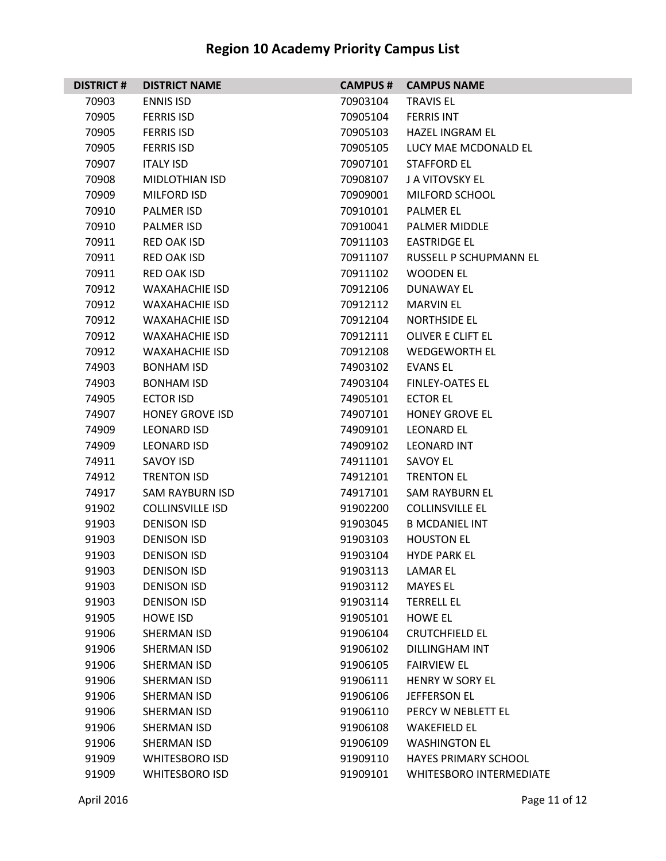| <b>DISTRICT#</b> | <b>DISTRICT NAME</b>    | <b>CAMPUS#</b> | <b>CAMPUS NAME</b>             |
|------------------|-------------------------|----------------|--------------------------------|
| 70903            | <b>ENNIS ISD</b>        | 70903104       | <b>TRAVIS EL</b>               |
| 70905            | <b>FERRIS ISD</b>       | 70905104       | <b>FERRIS INT</b>              |
| 70905            | <b>FERRIS ISD</b>       | 70905103       | <b>HAZEL INGRAM EL</b>         |
| 70905            | <b>FERRIS ISD</b>       | 70905105       | LUCY MAE MCDONALD EL           |
| 70907            | <b>ITALY ISD</b>        | 70907101       | <b>STAFFORD EL</b>             |
| 70908            | <b>MIDLOTHIAN ISD</b>   | 70908107       | J A VITOVSKY EL                |
| 70909            | <b>MILFORD ISD</b>      | 70909001       | MILFORD SCHOOL                 |
| 70910            | <b>PALMER ISD</b>       | 70910101       | <b>PALMER EL</b>               |
| 70910            | <b>PALMER ISD</b>       | 70910041       | <b>PALMER MIDDLE</b>           |
| 70911            | <b>RED OAK ISD</b>      | 70911103       | <b>EASTRIDGE EL</b>            |
| 70911            | RED OAK ISD             | 70911107       | RUSSELL P SCHUPMANN EL         |
| 70911            | <b>RED OAK ISD</b>      | 70911102       | <b>WOODEN EL</b>               |
| 70912            | <b>WAXAHACHIE ISD</b>   | 70912106       | <b>DUNAWAY EL</b>              |
| 70912            | <b>WAXAHACHIE ISD</b>   | 70912112       | <b>MARVIN EL</b>               |
| 70912            | <b>WAXAHACHIE ISD</b>   | 70912104       | <b>NORTHSIDE EL</b>            |
| 70912            | <b>WAXAHACHIE ISD</b>   | 70912111       | OLIVER E CLIFT EL              |
| 70912            | <b>WAXAHACHIE ISD</b>   | 70912108       | <b>WEDGEWORTH EL</b>           |
| 74903            | <b>BONHAM ISD</b>       | 74903102       | <b>EVANS EL</b>                |
| 74903            | <b>BONHAM ISD</b>       | 74903104       | <b>FINLEY-OATES EL</b>         |
| 74905            | <b>ECTOR ISD</b>        | 74905101       | <b>ECTOR EL</b>                |
| 74907            | <b>HONEY GROVE ISD</b>  | 74907101       | <b>HONEY GROVE EL</b>          |
| 74909            | <b>LEONARD ISD</b>      | 74909101       | <b>LEONARD EL</b>              |
| 74909            | <b>LEONARD ISD</b>      | 74909102       | <b>LEONARD INT</b>             |
| 74911            | SAVOY ISD               | 74911101       | <b>SAVOY EL</b>                |
| 74912            | <b>TRENTON ISD</b>      | 74912101       | <b>TRENTON EL</b>              |
| 74917            | <b>SAM RAYBURN ISD</b>  | 74917101       | <b>SAM RAYBURN EL</b>          |
| 91902            | <b>COLLINSVILLE ISD</b> | 91902200       | <b>COLLINSVILLE EL</b>         |
| 91903            | <b>DENISON ISD</b>      | 91903045       | <b>B MCDANIEL INT</b>          |
| 91903            | <b>DENISON ISD</b>      | 91903103       | <b>HOUSTON EL</b>              |
| 91903            | <b>DENISON ISD</b>      | 91903104       | <b>HYDE PARK EL</b>            |
| 91903            | <b>DENISON ISD</b>      | 91903113       | <b>LAMAREL</b>                 |
| 91903            | <b>DENISON ISD</b>      | 91903112       | <b>MAYES EL</b>                |
| 91903            | <b>DENISON ISD</b>      | 91903114       | <b>TERRELL EL</b>              |
| 91905            | <b>HOWE ISD</b>         | 91905101       | <b>HOWE EL</b>                 |
| 91906            | SHERMAN ISD             | 91906104       | <b>CRUTCHFIELD EL</b>          |
| 91906            | SHERMAN ISD             | 91906102       | <b>DILLINGHAM INT</b>          |
| 91906            | SHERMAN ISD             | 91906105       | <b>FAIRVIEW EL</b>             |
| 91906            | SHERMAN ISD             | 91906111       | <b>HENRY W SORY EL</b>         |
| 91906            | SHERMAN ISD             | 91906106       | <b>JEFFERSON EL</b>            |
| 91906            | SHERMAN ISD             | 91906110       | PERCY W NEBLETT EL             |
| 91906            | SHERMAN ISD             | 91906108       | <b>WAKEFIELD EL</b>            |
| 91906            | SHERMAN ISD             | 91906109       | <b>WASHINGTON EL</b>           |
| 91909            | <b>WHITESBORO ISD</b>   | 91909110       | <b>HAYES PRIMARY SCHOOL</b>    |
| 91909            | <b>WHITESBORO ISD</b>   | 91909101       | <b>WHITESBORO INTERMEDIATE</b> |